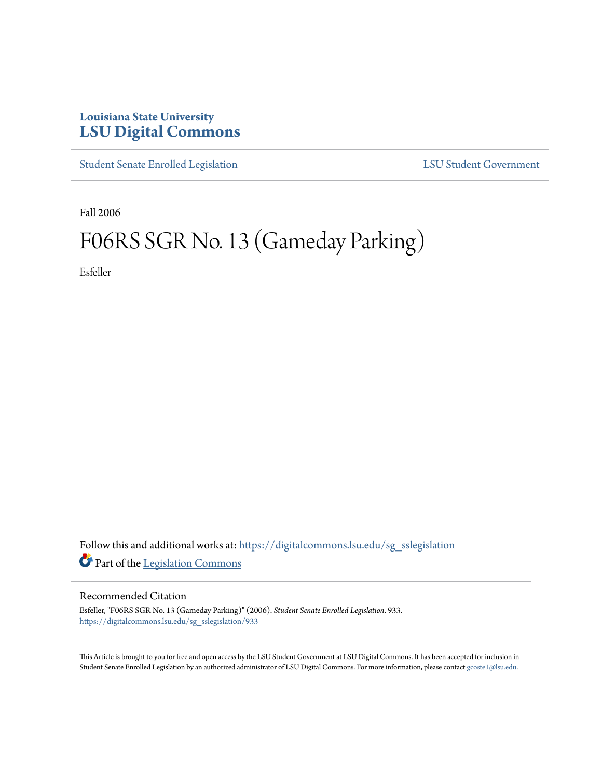## **Louisiana State University [LSU Digital Commons](https://digitalcommons.lsu.edu?utm_source=digitalcommons.lsu.edu%2Fsg_sslegislation%2F933&utm_medium=PDF&utm_campaign=PDFCoverPages)**

[Student Senate Enrolled Legislation](https://digitalcommons.lsu.edu/sg_sslegislation?utm_source=digitalcommons.lsu.edu%2Fsg_sslegislation%2F933&utm_medium=PDF&utm_campaign=PDFCoverPages) [LSU Student Government](https://digitalcommons.lsu.edu/sg?utm_source=digitalcommons.lsu.edu%2Fsg_sslegislation%2F933&utm_medium=PDF&utm_campaign=PDFCoverPages)

Fall 2006

## F06RS SGR No. 13 (Gameday Parking)

Esfeller

Follow this and additional works at: [https://digitalcommons.lsu.edu/sg\\_sslegislation](https://digitalcommons.lsu.edu/sg_sslegislation?utm_source=digitalcommons.lsu.edu%2Fsg_sslegislation%2F933&utm_medium=PDF&utm_campaign=PDFCoverPages) Part of the [Legislation Commons](http://network.bepress.com/hgg/discipline/859?utm_source=digitalcommons.lsu.edu%2Fsg_sslegislation%2F933&utm_medium=PDF&utm_campaign=PDFCoverPages)

## Recommended Citation

Esfeller, "F06RS SGR No. 13 (Gameday Parking)" (2006). *Student Senate Enrolled Legislation*. 933. [https://digitalcommons.lsu.edu/sg\\_sslegislation/933](https://digitalcommons.lsu.edu/sg_sslegislation/933?utm_source=digitalcommons.lsu.edu%2Fsg_sslegislation%2F933&utm_medium=PDF&utm_campaign=PDFCoverPages)

This Article is brought to you for free and open access by the LSU Student Government at LSU Digital Commons. It has been accepted for inclusion in Student Senate Enrolled Legislation by an authorized administrator of LSU Digital Commons. For more information, please contact [gcoste1@lsu.edu.](mailto:gcoste1@lsu.edu)